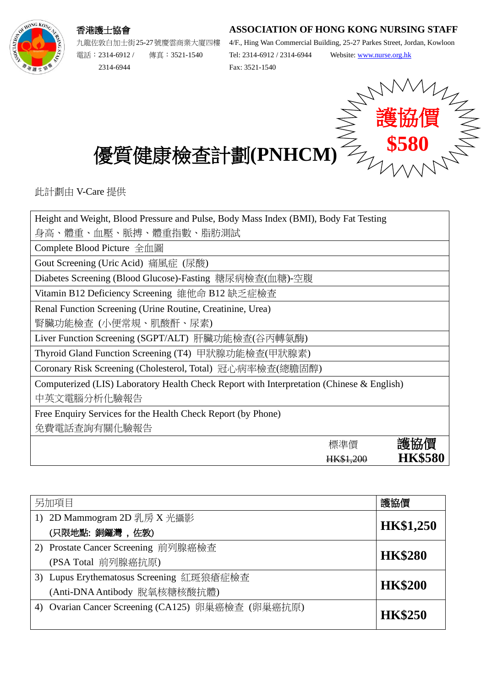## **ASSOCIATION OF HONG KONG NURSING STAFF**



香港護士協會 九龍佐敦白加士街25-27號慶雲商業大廈四樓

電話︰2314-6912 / 傳真︰3521-1540 2314-6944

4/F., Hing Wan Commercial Building, 25-27 Parkes Street, Jordan, Kowloon Tel: 2314-6912 / 2314-6944 Website: [www.nurse.org.hk](http://www.nurse.org.hk/) Fax: 3521-1540



優質健康檢查計劃**(PNHCM)**

此計劃由 V-Care 提供

| Height and Weight, Blood Pressure and Pulse, Body Mass Index (BMI), Body Fat Testing      |           |                |
|-------------------------------------------------------------------------------------------|-----------|----------------|
| 身高、體重、血壓、脈搏、體重指數、脂肪測試                                                                     |           |                |
| Complete Blood Picture 全血圖                                                                |           |                |
| Gout Screening (Uric Acid) 痛風症 (尿酸)                                                       |           |                |
| Diabetes Screening (Blood Glucose)-Fasting 糖尿病檢查(血糖)-空腹                                   |           |                |
| Vitamin B12 Deficiency Screening 維他命 B12 缺乏症檢查                                            |           |                |
| Renal Function Screening (Urine Routine, Creatinine, Urea)                                |           |                |
| 腎臟功能檢查 (小便常規、肌酸酐、尿素)                                                                      |           |                |
| Liver Function Screening (SGPT/ALT) 肝臟功能檢查(谷丙轉氨酶)                                         |           |                |
| Thyroid Gland Function Screening (T4) 甲狀腺功能檢查(甲狀腺素)                                       |           |                |
| Coronary Risk Screening (Cholesterol, Total) 冠心病率檢查(總膽固醇)                                 |           |                |
| Computerized (LIS) Laboratory Health Check Report with Interpretation (Chinese & English) |           |                |
| 中英文電腦分析化驗報告                                                                               |           |                |
| Free Enquiry Services for the Health Check Report (by Phone)                              |           |                |
| 免費電話查詢有關化驗報告                                                                              |           |                |
|                                                                                           | 標準價       | 護協價            |
|                                                                                           | HK\$1,200 | <b>HK\$580</b> |
|                                                                                           |           |                |

| 另加項目 |                                                   | 護協價              |  |
|------|---------------------------------------------------|------------------|--|
|      | 1) 2D Mammogram 2D 乳房 X 光攝影                       |                  |  |
|      | (只限地點:銅鑼灣,佐敦)                                     | <b>HK\$1,250</b> |  |
|      | 2) Prostate Cancer Screening 前列腺癌檢查               |                  |  |
|      | (PSA Total 前列腺癌抗原)                                | <b>HK\$280</b>   |  |
|      | 3) Lupus Erythematosus Screening 紅斑狼瘡症檢查          |                  |  |
|      | (Anti-DNA Antibody 脫氧核糖核酸抗體)                      | <b>HK\$200</b>   |  |
|      | 4) Ovarian Cancer Screening (CA125) 卵巢癌檢查 (卵巢癌抗原) |                  |  |
|      |                                                   | <b>HK\$250</b>   |  |